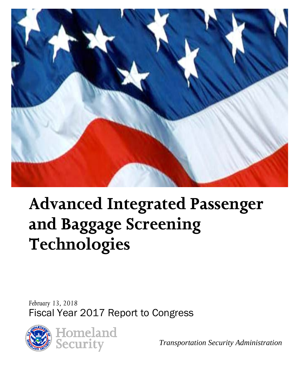

# **Advanced Integrated Passenger and Baggage Screening Technologies**

*February 13, 2018*  Fiscal Year 2017 Report to Congress



*Transportation Security Administration*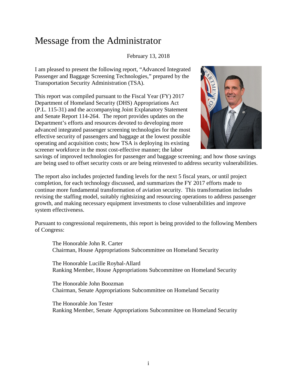### Message from the Administrator

#### February 13, 2018

I am pleased to present the following report, "Advanced Integrated Passenger and Baggage Screening Technologies," prepared by the Transportation Security Administration (TSA).

This report was compiled pursuant to the Fiscal Year (FY) 2017 Department of Homeland Security (DHS) Appropriations Act (P.L. 115-31) and the accompanying Joint Explanatory Statement and Senate Report 114-264. The report provides updates on the Department's efforts and resources devoted to developing more advanced integrated passenger screening technologies for the most effective security of passengers and baggage at the lowest possible operating and acquisition costs; how TSA is deploying its existing screener workforce in the most cost-effective manner; the labor



savings of improved technologies for passenger and baggage screening; and how those savings are being used to offset security costs or are being reinvested to address security vulnerabilities.

The report also includes projected funding levels for the next 5 fiscal years, or until project completion, for each technology discussed, and summarizes the FY 2017 efforts made to continue more fundamental transformation of aviation security. This transformation includes revising the staffing model, suitably rightsizing and resourcing operations to address passenger growth, and making necessary equipment investments to close vulnerabilities and improve system effectiveness.

Pursuant to congressional requirements, this report is being provided to the following Members of Congress:

The Honorable John R. Carter Chairman, House Appropriations Subcommittee on Homeland Security

The Honorable Lucille Roybal-Allard Ranking Member, House Appropriations Subcommittee on Homeland Security

The Honorable John Boozman Chairman, Senate Appropriations Subcommittee on Homeland Security

The Honorable Jon Tester Ranking Member, Senate Appropriations Subcommittee on Homeland Security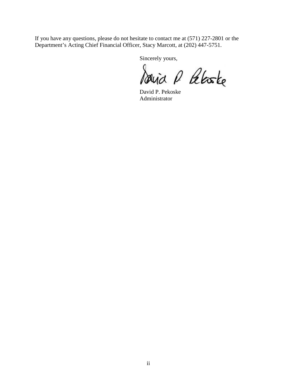If you have any questions, please do not hesitate to contact me at (571) 227-2801 or the Department's Acting Chief Financial Officer, Stacy Marcott, at (202) 447-5751.

Sincerely yours,

David P Peloste

David P. Pekoske Administrator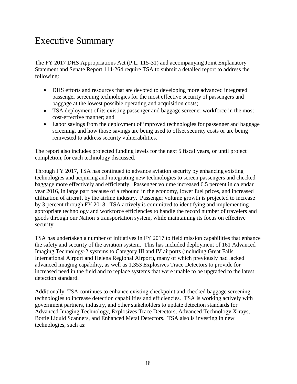# Executive Summary

The FY 2017 DHS Appropriations Act (P.L. 115-31) and accompanying Joint Explanatory Statement and Senate Report 114-264 require TSA to submit a detailed report to address the following:

- DHS efforts and resources that are devoted to developing more advanced integrated passenger screening technologies for the most effective security of passengers and baggage at the lowest possible operating and acquisition costs;
- TSA deployment of its existing passenger and baggage screener workforce in the most cost-effective manner; and
- Labor savings from the deployment of improved technologies for passenger and baggage screening, and how those savings are being used to offset security costs or are being reinvested to address security vulnerabilities.

The report also includes projected funding levels for the next 5 fiscal years, or until project completion, for each technology discussed.

Through FY 2017, TSA has continued to advance aviation security by enhancing existing technologies and acquiring and integrating new technologies to screen passengers and checked baggage more effectively and efficiently. Passenger volume increased 6.5 percent in calendar year 2016, in large part because of a rebound in the economy, lower fuel prices, and increased utilization of aircraft by the airline industry. Passenger volume growth is projected to increase by 3 percent through FY 2018. TSA actively is committed to identifying and implementing appropriate technology and workforce efficiencies to handle the record number of travelers and goods through our Nation's transportation system, while maintaining its focus on effective security.

TSA has undertaken a number of initiatives in FY 2017 to field mission capabilities that enhance the safety and security of the aviation system. This has included deployment of 161 Advanced Imaging Technology-2 systems to Category III and IV airports (including Great Falls International Airport and Helena Regional Airport), many of which previously had lacked advanced imaging capability, as well as 1,353 Explosives Trace Detectors to provide for increased need in the field and to replace systems that were unable to be upgraded to the latest detection standard.

Additionally, TSA continues to enhance existing checkpoint and checked baggage screening technologies to increase detection capabilities and efficiencies. TSA is working actively with government partners, industry, and other stakeholders to update detection standards for Advanced Imaging Technology, Explosives Trace Detectors, Advanced Technology X-rays, Bottle Liquid Scanners, and Enhanced Metal Detectors. TSA also is investing in new technologies, such as: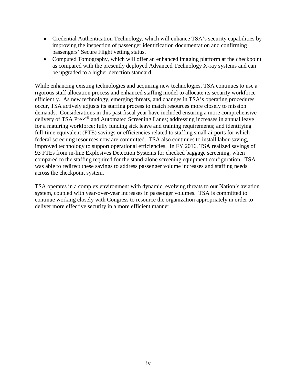- Credential Authentication Technology, which will enhance TSA's security capabilities by improving the inspection of passenger identification documentation and confirming passengers' Secure Flight vetting status.
- Computed Tomography, which will offer an enhanced imaging platform at the checkpoint as compared with the presently deployed Advanced Technology X-ray systems and can be upgraded to a higher detection standard.

While enhancing existing technologies and acquiring new technologies, TSA continues to use a rigorous staff allocation process and enhanced staffing model to allocate its security workforce efficiently. As new technology, emerging threats, and changes in TSA's operating procedures occur, TSA actively adjusts its staffing process to match resources more closely to mission demands. Considerations in this past fiscal year have included ensuring a more comprehensive delivery of TSA Pre $\checkmark$ <sup>®</sup> and Automated Screening Lanes; addressing increases in annual leave for a maturing workforce; fully funding sick leave and training requirements; and identifying full-time equivalent (FTE) savings or efficiencies related to staffing small airports for which federal screening resources now are committed. TSA also continues to install labor-saving, improved technology to support operational efficiencies. In FY 2016, TSA realized savings of 93 FTEs from in-line Explosives Detection Systems for checked baggage screening, when compared to the staffing required for the stand-alone screening equipment configuration. TSA was able to redirect these savings to address passenger volume increases and staffing needs across the checkpoint system.

TSA operates in a complex environment with dynamic, evolving threats to our Nation's aviation system, coupled with year-over-year increases in passenger volumes. TSA is committed to continue working closely with Congress to resource the organization appropriately in order to deliver more effective security in a more efficient manner.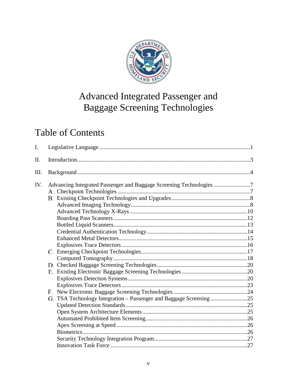

# Advanced Integrated Passenger and Baggage Screening Technologies

# **Table of Contents**

| I.  |                                                                                                                                           |  |
|-----|-------------------------------------------------------------------------------------------------------------------------------------------|--|
| Π.  |                                                                                                                                           |  |
| Ш.  |                                                                                                                                           |  |
| IV. | Advancing Integrated Passenger and Baggage Screening Technologies 7<br>G. TSA Technology Integration - Passenger and Baggage Screening 25 |  |
|     |                                                                                                                                           |  |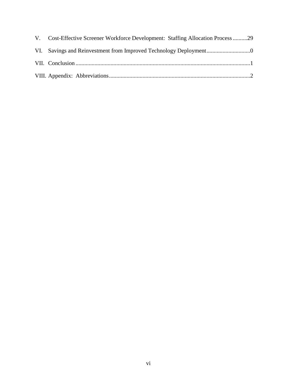| V. Cost-Effective Screener Workforce Development: Staffing Allocation Process29 |
|---------------------------------------------------------------------------------|
|                                                                                 |
|                                                                                 |
|                                                                                 |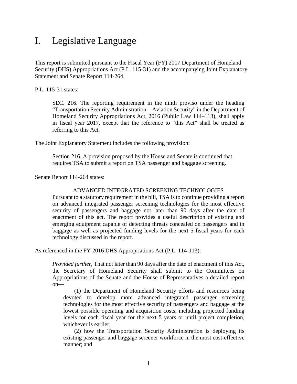### <span id="page-7-0"></span>I. Legislative Language

This report is submitted pursuant to the Fiscal Year (FY) 2017 Department of Homeland Security (DHS) Appropriations Act (P.L. 115-31) and the accompanying Joint Explanatory Statement and Senate Report 114-264.

P.L. 115-31 states:

SEC. 216. The reporting requirement in the ninth proviso under the heading "Transportation Security Administration—Aviation Security" in the Department of Homeland Security Appropriations Act, 2016 (Public Law 114–113), shall apply in fiscal year 2017, except that the reference to "this Act" shall be treated as referring to this Act.

The Joint Explanatory Statement includes the following provision:

Section 216. A provision proposed by the House and Senate is continued that requires TSA to submit a report on TSA passenger and baggage screening.

Senate Report 114-264 states:

#### ADVANCED INTEGRATED SCREENING TECHNOLOGIES

Pursuant to a statutory requirement in the bill, TSA is to continue providing a report on advanced integrated passenger screening technologies for the most effective security of passengers and baggage not later than 90 days after the date of enactment of this act. The report provides a useful description of existing and emerging equipment capable of detecting threats concealed on passengers and in baggage as well as projected funding levels for the next 5 fiscal years for each technology discussed in the report.

As referenced in the FY 2016 DHS Appropriations Act (P.L. 114-113):

*Provided further*, That not later than 90 days after the date of enactment of this Act, the Secretary of Homeland Security shall submit to the Committees on Appropriations of the Senate and the House of Representatives a detailed report on—

(1) the Department of Homeland Security efforts and resources being devoted to develop more advanced integrated passenger screening technologies for the most effective security of passengers and baggage at the lowest possible operating and acquisition costs, including projected funding levels for each fiscal year for the next 5 years or until project completion, whichever is earlier;

(2) how the Transportation Security Administration is deploying its existing passenger and baggage screener workforce in the most cost-effective manner; and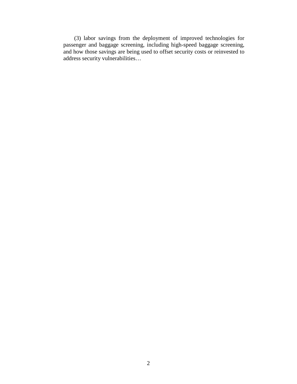(3) labor savings from the deployment of improved technologies for passenger and baggage screening, including high-speed baggage screening, and how those savings are being used to offset security costs or reinvested to address security vulnerabilities…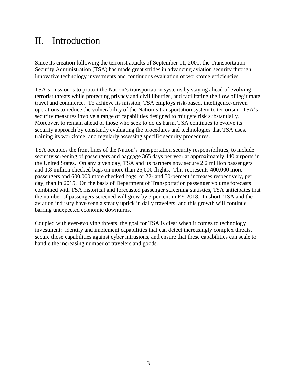### <span id="page-9-0"></span>II. Introduction

Since its creation following the terrorist attacks of September 11, 2001, the Transportation Security Administration (TSA) has made great strides in advancing aviation security through innovative technology investments and continuous evaluation of workforce efficiencies.

TSA's mission is to protect the Nation's transportation systems by staying ahead of evolving terrorist threats while protecting privacy and civil liberties, and facilitating the flow of legitimate travel and commerce. To achieve its mission, TSA employs risk-based, intelligence-driven operations to reduce the vulnerability of the Nation's transportation system to terrorism. TSA's security measures involve a range of capabilities designed to mitigate risk substantially. Moreover, to remain ahead of those who seek to do us harm, TSA continues to evolve its security approach by constantly evaluating the procedures and technologies that TSA uses, training its workforce, and regularly assessing specific security procedures.

TSA occupies the front lines of the Nation's transportation security responsibilities, to include security screening of passengers and baggage 365 days per year at approximately 440 airports in the United States. On any given day, TSA and its partners now secure 2.2 million passengers and 1.8 million checked bags on more than 25,000 flights. This represents 400,000 more passengers and 600,000 more checked bags, or 22- and 50-percent increases respectively, per day, than in 2015. On the basis of Department of Transportation passenger volume forecasts combined with TSA historical and forecasted passenger screening statistics, TSA anticipates that the number of passengers screened will grow by 3 percent in FY 2018. In short, TSA and the aviation industry have seen a steady uptick in daily travelers, and this growth will continue barring unexpected economic downturns.

Coupled with ever-evolving threats, the goal for TSA is clear when it comes to technology investment: identify and implement capabilities that can detect increasingly complex threats, secure those capabilities against cyber intrusions, and ensure that these capabilities can scale to handle the increasing number of travelers and goods.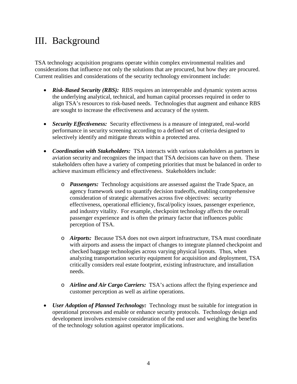### <span id="page-10-0"></span>III. Background

TSA technology acquisition programs operate within complex environmental realities and considerations that influence not only the solutions that are procured, but how they are procured. Current realities and considerations of the security technology environment include:

- *Risk-Based Security (RBS):* RBS requires an interoperable and dynamic system across the underlying analytical, technical, and human capital processes required in order to align TSA's resources to risk-based needs. Technologies that augment and enhance RBS are sought to increase the effectiveness and accuracy of the system.
- *Security Effectiveness:* Security effectiveness is a measure of integrated, real-world performance in security screening according to a defined set of criteria designed to selectively identify and mitigate threats within a protected area.
- *Coordination with Stakeholders:* TSA interacts with various stakeholders as partners in aviation security and recognizes the impact that TSA decisions can have on them. These stakeholders often have a variety of competing priorities that must be balanced in order to achieve maximum efficiency and effectiveness. Stakeholders include:
	- o *Passengers:* Technology acquisitions are assessed against the Trade Space, an agency framework used to quantify decision tradeoffs, enabling comprehensive consideration of strategic alternatives across five objectives: security effectiveness, operational efficiency, fiscal/policy issues, passenger experience, and industry vitality. For example, checkpoint technology affects the overall passenger experience and is often the primary factor that influences public perception of TSA.
	- o *Airports:* Because TSA does not own airport infrastructure, TSA must coordinate with airports and assess the impact of changes to integrate planned checkpoint and checked baggage technologies across varying physical layouts. Thus, when analyzing transportation security equipment for acquisition and deployment, TSA critically considers real estate footprint, existing infrastructure, and installation needs.
	- o *Airline and Air Cargo Carriers:* TSA's actions affect the flying experience and customer perception as well as airline operations.
- *User Adoption of Planned Technology:* Technology must be suitable for integration in operational processes and enable or enhance security protocols. Technology design and development involves extensive consideration of the end user and weighing the benefits of the technology solution against operator implications.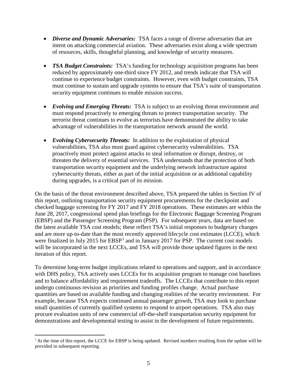- *Diverse and Dynamic Adversaries:* TSA faces a range of diverse adversaries that are intent on attacking commercial aviation. These adversaries exist along a wide spectrum of resources, skills, thoughtful planning, and knowledge of security measures.
- *TSA Budget Constraints:* TSA's funding for technology acquisition programs has been reduced by approximately one-third since FY 2012, and trends indicate that TSA will continue to experience budget constraints. However, even with budget constraints, TSA must continue to sustain and upgrade systems to ensure that TSA's suite of transportation security equipment continues to enable mission success.
- *Evolving and Emerging Threats:* TSA is subject to an evolving threat environment and must respond proactively to emerging threats to protect transportation security. The terrorist threat continues to evolve as terrorists have demonstrated the ability to take advantage of vulnerabilities in the transportation network around the world.
- *Evolving Cybersecurity Threats:* In addition to the exploitation of physical vulnerabilities, TSA also must guard against cybersecurity vulnerabilities. TSA proactively must protect against attacks to steal information or disrupt, destroy, or threaten the delivery of essential services. TSA understands that the protection of both transportation security equipment and the underlying network infrastructure against cybersecurity threats, either as part of the initial acquisition or as additional capability during upgrades, is a critical part of its mission.

On the basis of the threat environment described above, TSA prepared the tables in Section IV of this report, outlining transportation security equipment procurements for the checkpoint and checked baggage screening for FY 2017 and FY 2018 operations. These estimates are within the June 28, 2017, congressional spend plan briefings for the Electronic Baggage Screening Program (EBSP) and the Passenger Screening Program (PSP). For subsequent years, data are based on the latest available TSA cost models; these reflect TSA's initial responses to budgetary changes and are more up-to-date than the most recently approved lifecycle cost estimates (LCCE), which were finalized in July 20[1](#page-11-0)5 for  $EBSP<sup>1</sup>$  and in January 2017 for PSP. The current cost models will be incorporated in the next LCCEs, and TSA will provide those updated figures in the next iteration of this report.

To determine long-term budget implications related to operations and support, and in accordance with DHS policy, TSA actively uses LCCEs for its acquisition program to manage cost baselines and to balance affordability and requirement tradeoffs. The LCCEs that contribute to this report undergo continuous revision as priorities and funding profiles change. Actual purchase quantities are based on available funding and changing realities of the security environment. For example, because TSA expects continued annual passenger growth, TSA may look to purchase small quantities of currently qualified systems to respond to airport operations. TSA also may procure evaluation units of new commercial off-the-shelf transportation security equipment for demonstrations and developmental testing to assist in the development of future requirements.

<span id="page-11-0"></span> $\overline{a}$  $1$  At the time of this report, the LCCE for EBSP is being updated. Revised numbers resulting from the update will be provided in subsequent reporting.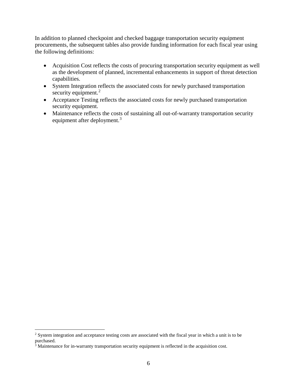In addition to planned checkpoint and checked baggage transportation security equipment procurements, the subsequent tables also provide funding information for each fiscal year using the following definitions:

- Acquisition Cost reflects the costs of procuring transportation security equipment as well as the development of planned, incremental enhancements in support of threat detection capabilities.
- System Integration reflects the associated costs for newly purchased transportation security equipment.<sup>[2](#page-12-0)</sup>
- Acceptance Testing reflects the associated costs for newly purchased transportation security equipment.
- Maintenance reflects the costs of sustaining all out-of-warranty transportation security equipment after deployment.<sup>[3](#page-12-1)</sup>

 $\overline{a}$ 

<span id="page-12-0"></span> $2$  System integration and acceptance testing costs are associated with the fiscal year in which a unit is to be purchased.

<span id="page-12-1"></span><sup>&</sup>lt;sup>3</sup> Maintenance for in-warranty transportation security equipment is reflected in the acquisition cost.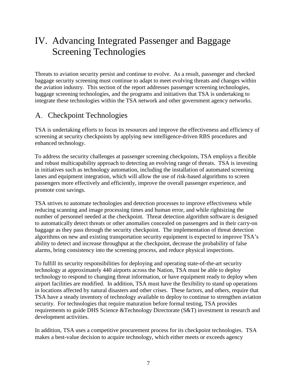# <span id="page-13-0"></span>IV. Advancing Integrated Passenger and Baggage Screening Technologies

Threats to aviation security persist and continue to evolve. As a result, passenger and checked baggage security screening must continue to adapt to meet evolving threats and changes within the aviation industry. This section of the report addresses passenger screening technologies, baggage screening technologies, and the programs and initiatives that TSA is undertaking to integrate these technologies within the TSA network and other government agency networks.

### A. Checkpoint Technologies

TSA is undertaking efforts to focus its resources and improve the effectiveness and efficiency of screening at security checkpoints by applying new intelligence-driven RBS procedures and enhanced technology.

To address the security challenges at passenger screening checkpoints, TSA employs a flexible and robust multicapability approach to detecting an evolving range of threats. TSA is investing in initiatives such as technology automation, including the installation of automated screening lanes and equipment integration, which will allow the use of risk-based algorithms to screen passengers more effectively and efficiently, improve the overall passenger experience, and promote cost savings.

TSA strives to automate technologies and detection processes to improve effectiveness while reducing scanning and image processing times and human error, and while rightsizing the number of personnel needed at the checkpoint. Threat detection algorithm software is designed to automatically detect threats or other anomalies concealed on passengers and in their carry-on baggage as they pass through the security checkpoint. The implementation of threat detection algorithms on new and existing transportation security equipment is expected to improve TSA's ability to detect and increase throughput at the checkpoint, decrease the probability of false alarms, bring consistency into the screening process, and reduce physical inspections.

To fulfill its security responsibilities for deploying and operating state-of-the-art security technology at approximately 440 airports across the Nation, TSA must be able to deploy technology to respond to changing threat information, or have equipment ready to deploy when airport facilities are modified. In addition, TSA must have the flexibility to stand up operations in locations affected by natural disasters and other crises. These factors, and others, require that TSA have a steady inventory of technology available to deploy to continue to strengthen aviation security. For technologies that require maturation before formal testing, TSA provides requirements to guide DHS Science &Technology Directorate (S&T) investment in research and development activities.

In addition, TSA uses a competitive procurement process for its checkpoint technologies. TSA makes a best-value decision to acquire technology, which either meets or exceeds agency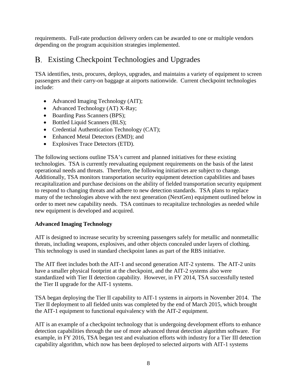requirements. Full-rate production delivery orders can be awarded to one or multiple vendors depending on the program acquisition strategies implemented.

### Existing Checkpoint Technologies and Upgrades

TSA identifies, tests, procures, deploys, upgrades, and maintains a variety of equipment to screen passengers and their carry-on baggage at airports nationwide. Current checkpoint technologies include:

- Advanced Imaging Technology (AIT);
- Advanced Technology (AT) X-Ray;
- Boarding Pass Scanners (BPS);
- Bottled Liquid Scanners (BLS);
- Credential Authentication Technology (CAT);
- Enhanced Metal Detectors (EMD); and
- Explosives Trace Detectors (ETD).

The following sections outline TSA's current and planned initiatives for these existing technologies. TSA is currently reevaluating equipment requirements on the basis of the latest operational needs and threats. Therefore, the following initiatives are subject to change. Additionally, TSA monitors transportation security equipment detection capabilities and bases recapitalization and purchase decisions on the ability of fielded transportation security equipment to respond to changing threats and adhere to new detection standards. TSA plans to replace many of the technologies above with the next generation (NextGen) equipment outlined below in order to meet new capability needs. TSA continues to recapitalize technologies as needed while new equipment is developed and acquired.

#### <span id="page-14-0"></span>**Advanced Imaging Technology**

AIT is designed to increase security by screening passengers safely for metallic and nonmetallic threats, including weapons, explosives, and other objects concealed under layers of clothing. This technology is used in standard checkpoint lanes as part of the RBS initiative.

The AIT fleet includes both the AIT-1 and second generation AIT-2 systems. The AIT-2 units have a smaller physical footprint at the checkpoint, and the AIT-2 systems also were standardized with Tier II detection capability. However, in FY 2014, TSA successfully tested the Tier II upgrade for the AIT-1 systems.

TSA began deploying the Tier II capability to AIT-1 systems in airports in November 2014. The Tier II deployment to all fielded units was completed by the end of March 2015, which brought the AIT-1 equipment to functional equivalency with the AIT-2 equipment.

AIT is an example of a checkpoint technology that is undergoing development efforts to enhance detection capabilities through the use of more advanced threat detection algorithm software. For example, in FY 2016, TSA began test and evaluation efforts with industry for a Tier III detection capability algorithm, which now has been deployed to selected airports with AIT-1 systems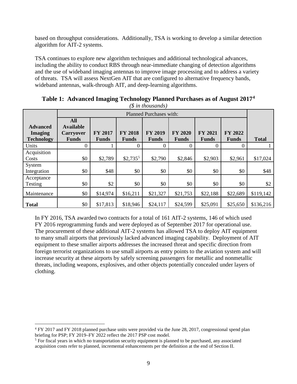based on throughput considerations. Additionally, TSA is working to develop a similar detection algorithm for AIT-2 systems.

TSA continues to explore new algorithm techniques and additional technological advances, including the ability to conduct RBS through near-immediate changing of detection algorithms and the use of wideband imaging antennas to improve image processing and to address a variety of threats. TSA will assess NextGen AIT that are configured to alternative frequency bands, wideband antennas, walk-through AIT, and deep-learning algorithms.

|                                                        |                                                                    | Planned Purchases with: |                                |                                |                                |                                |                         |              |  |
|--------------------------------------------------------|--------------------------------------------------------------------|-------------------------|--------------------------------|--------------------------------|--------------------------------|--------------------------------|-------------------------|--------------|--|
| <b>Advanced</b><br><b>Imaging</b><br><b>Technology</b> | <b>All</b><br><b>Available</b><br><b>Carryover</b><br><b>Funds</b> | FY 2017<br><b>Funds</b> | <b>FY 2018</b><br><b>Funds</b> | <b>FY 2019</b><br><b>Funds</b> | <b>FY 2020</b><br><b>Funds</b> | <b>FY 2021</b><br><b>Funds</b> | FY 2022<br><b>Funds</b> | <b>Total</b> |  |
| Units                                                  | 0                                                                  |                         | $\theta$                       | $\theta$                       | $\Omega$                       | $\Omega$                       | 0                       |              |  |
| Acquisition<br>Costs                                   | \$0                                                                | \$2,789                 | $$2,735^5$                     | \$2,790                        | \$2,846                        | \$2,903                        | \$2,961                 | \$17,024     |  |
| System<br>Integration                                  | \$0                                                                | \$48                    | \$0                            | \$0                            | \$0                            | \$0                            | \$0                     | \$48         |  |
| Acceptance<br>Testing                                  | \$0                                                                | \$2                     | \$0                            | \$0                            | \$0                            | \$0                            | \$0                     | \$2          |  |
| Maintenance                                            | \$0                                                                | \$14,974                | \$16,211                       | \$21,327                       | \$21,753                       | \$22,188                       | \$22,689                | \$119,142    |  |
| <b>Total</b>                                           | \$0                                                                | \$17,813                | \$18,946                       | \$24,117                       | \$24,599                       | \$25,091                       | \$25,650                | \$136,216    |  |

**Table 1: Advanced Imaging Technology Planned Purchases as of August 2017[4](#page-15-0)** *(\$ in thousands)* 

In FY 2016, TSA awarded two contracts for a total of 161 AIT-2 systems, 146 of which used FY 2016 reprogramming funds and were deployed as of September 2017 for operational use. The procurement of these additional AIT-2 systems has allowed TSA to deploy AIT equipment to many small airports that previously lacked advanced imaging capability. Deployment of AIT equipment to these smaller airports addresses the increased threat and specific direction from foreign terrorist organizations to use small airports as entry points to the aviation system and will increase security at these airports by safely screening passengers for metallic and nonmetallic threats, including weapons, explosives, and other objects potentially concealed under layers of clothing.

 $\overline{a}$ 

<span id="page-15-0"></span><sup>4</sup> FY 2017 and FY 2018 planned purchase units were provided via the June 28, 2017, congressional spend plan briefing for PSP; FY 2019–FY 2022 reflect the 2017 PSP cost model.

<span id="page-15-1"></span><sup>&</sup>lt;sup>5</sup> For fiscal years in which no transportation security equipment is planned to be purchased, any associated acquisition costs refer to planned, incremental enhancements per the definition at the end of Section II.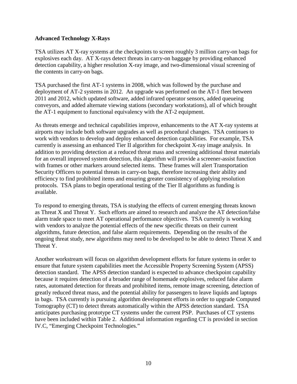#### <span id="page-16-0"></span>**Advanced Technology X-Rays**

TSA utilizes AT X-ray systems at the checkpoints to screen roughly 3 million carry-on bags for explosives each day. AT X-rays detect threats in carry-on baggage by providing enhanced detection capability, a higher resolution X-ray image, and two-dimensional visual screening of the contents in carry-on bags.

TSA purchased the first AT-1 systems in 2008, which was followed by the purchase and deployment of AT-2 systems in 2012. An upgrade was performed on the AT-1 fleet between 2011 and 2012, which updated software, added infrared operator sensors, added queueing conveyors, and added alternate viewing stations (secondary workstations), all of which brought the AT-1 equipment to functional equivalency with the AT-2 equipment.

As threats emerge and technical capabilities improve, enhancements to the AT X-ray systems at airports may include both software upgrades as well as procedural changes. TSA continues to work with vendors to develop and deploy enhanced detection capabilities. For example, TSA currently is assessing an enhanced Tier II algorithm for checkpoint X-ray image analysis. In addition to providing detection at a reduced threat mass and screening additional threat materials for an overall improved system detection, this algorithm will provide a screener-assist function with frames or other markers around selected items. These frames will alert Transportation Security Officers to potential threats in carry-on bags, therefore increasing their ability and efficiency to find prohibited items and ensuring greater consistency of applying resolution protocols. TSA plans to begin operational testing of the Tier II algorithms as funding is available.

To respond to emerging threats, TSA is studying the effects of current emerging threats known as Threat X and Threat Y. Such efforts are aimed to research and analyze the AT detection/false alarm trade space to meet AT operational performance objectives. TSA currently is working with vendors to analyze the potential effects of the new specific threats on their current algorithms, future detection, and false alarm requirements. Depending on the results of the ongoing threat study, new algorithms may need to be developed to be able to detect Threat X and Threat Y.

Another workstream will focus on algorithm development efforts for future systems in order to ensure that future system capabilities meet the Accessible Property Screening System (APSS) detection standard. The APSS detection standard is expected to advance checkpoint capability because it requires detection of a broader range of homemade explosives, reduced false alarm rates, automated detection for threats and prohibited items, remote image screening, detection of greatly reduced threat mass, and the potential ability for passengers to leave liquids and laptops in bags. TSA currently is pursuing algorithm development efforts in order to upgrade Computed Tomography (CT) to detect threats automatically within the APSS detection standard. TSA anticipates purchasing prototype CT systems under the current PSP. Purchases of CT systems have been included within Table 2. Additional information regarding CT is provided in section IV.C, "Emerging Checkpoint Technologies."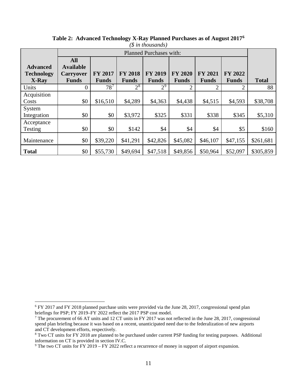| $(\text{$\$$ in thousands})$ |                                |                |                |                         |                |                |                |              |
|------------------------------|--------------------------------|----------------|----------------|-------------------------|----------------|----------------|----------------|--------------|
|                              |                                |                |                | Planned Purchases with: |                |                |                |              |
| <b>Advanced</b>              | <b>All</b><br><b>Available</b> |                |                |                         |                |                |                |              |
| <b>Technology</b>            | <b>Carryover</b>               | <b>FY 2017</b> | <b>FY 2018</b> | <b>FY 2019</b>          | <b>FY 2020</b> | <b>FY 2021</b> | <b>FY 2022</b> |              |
| X-Ray                        | <b>Funds</b>                   | <b>Funds</b>   | <b>Funds</b>   | <b>Funds</b>            | <b>Funds</b>   | <b>Funds</b>   | <b>Funds</b>   | <b>Total</b> |
| Units                        | $\overline{0}$                 | $78^7$         | $2^8$          | 2 <sup>9</sup>          | $\overline{2}$ | 2              | 2              | 88           |
| Acquisition                  |                                |                |                |                         |                |                |                |              |
| Costs                        | \$0                            | \$16,510       | \$4,289        | \$4,363                 | \$4,438        | \$4,515        | \$4,593        | \$38,708     |
| System                       |                                |                |                |                         |                |                |                |              |
| Integration                  | \$0                            | \$0            | \$3,972        | \$325                   | \$331          | \$338          | \$345          | \$5,310      |
| Acceptance                   |                                |                |                |                         |                |                |                |              |
| Testing                      | \$0                            | \$0            | \$142          | \$4                     | \$4            | \$4            | \$5            | \$160        |
| Maintenance                  | \$0                            | \$39,220       | \$41,291       | \$42,826                | \$45,082       | \$46,107       | \$47,155       | \$261,681    |
| <b>Total</b>                 | \$0                            | \$55,730       | \$49,694       | \$47,518                | \$49,856       | \$50,964       | \$52,097       | \$305,859    |

**Table 2: Advanced Technology X-Ray Planned Purchases as of August 2017[6](#page-17-0)**

 $\overline{a}$ 

<span id="page-17-0"></span><sup>&</sup>lt;sup>6</sup> FY 2017 and FY 2018 planned purchase units were provided via the June 28, 2017, congressional spend plan briefings for PSP; FY 2019–FY 2022 reflect the 2017 PSP cost model.

<span id="page-17-1"></span><sup>&</sup>lt;sup>7</sup> The procurement of 66 AT units and 12 CT units in FY 2017 was not reflected in the June 28, 2017, congressional spend plan briefing because it was based on a recent, unanticipated need due to the federalization of new airports and CT development efforts, respectively.

<span id="page-17-2"></span><sup>&</sup>lt;sup>8</sup> Two CT units for FY 2018 are planned to be purchased under current PSP funding for testing purposes. Additional information on CT is provided in section IV.C.

<span id="page-17-3"></span><sup>&</sup>lt;sup>9</sup> The two CT units for FY 2019 – FY 2022 reflect a recurrence of money in support of airport expansion.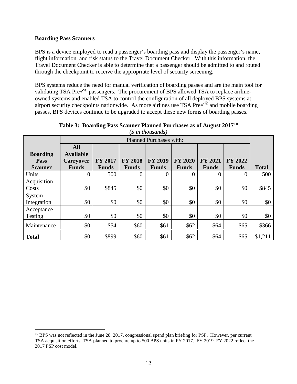#### <span id="page-18-0"></span>**Boarding Pass Scanners**

BPS is a device employed to read a passenger's boarding pass and display the passenger's name, flight information, and risk status to the Travel Document Checker. With this information, the Travel Document Checker is able to determine that a passenger should be admitted to and routed through the checkpoint to receive the appropriate level of security screening.

BPS systems reduce the need for manual verification of boarding passes and are the main tool for validating TSA Pre $\checkmark$ <sup>®</sup> passengers. The procurement of BPS allowed TSA to replace airlineowned systems and enabled TSA to control the configuration of all deployed BPS systems at airport security checkpoints nationwide. As more airlines use TSA  $\text{PreV}^{\&}$  and mobile boarding passes, BPS devices continue to be upgraded to accept these new forms of boarding passes.

|                                           |                                                                    |                                |                                | $\varphi$ ,                    |                                |                                |                         |              |
|-------------------------------------------|--------------------------------------------------------------------|--------------------------------|--------------------------------|--------------------------------|--------------------------------|--------------------------------|-------------------------|--------------|
|                                           |                                                                    |                                |                                | Planned Purchases with:        |                                |                                |                         |              |
| <b>Boarding</b><br>Pass<br><b>Scanner</b> | <b>All</b><br><b>Available</b><br><b>Carryover</b><br><b>Funds</b> | <b>FY 2017</b><br><b>Funds</b> | <b>FY 2018</b><br><b>Funds</b> | <b>FY 2019</b><br><b>Funds</b> | <b>FY 2020</b><br><b>Funds</b> | <b>FY 2021</b><br><b>Funds</b> | FY 2022<br><b>Funds</b> | <b>Total</b> |
| Units                                     | 0                                                                  | 500                            | $\Omega$                       | 0                              | $\overline{0}$                 | 0                              | 0                       | 500          |
| Acquisition<br>Costs                      | \$0                                                                | \$845                          | \$0                            | \$0                            | \$0                            | \$0                            | \$0                     | \$845        |
| System<br>Integration                     | \$0                                                                | \$0                            | \$0                            | \$0                            | \$0                            | \$0                            | \$0                     | \$0          |
| Acceptance<br>Testing                     | \$0                                                                | \$0                            | \$0                            | \$0                            | \$0                            | \$0                            | \$0                     | \$0          |
| Maintenance                               | \$0                                                                | \$54                           | \$60                           | \$61                           | \$62                           | \$64                           | \$65                    | \$366        |
| <b>Total</b>                              | \$0                                                                | \$899                          | \$60                           | \$61                           | \$62                           | \$64                           | \$65                    | \$1,211      |

**Table 3: Boarding Pass Scanner Planned Purchases as of August 2017[10](#page-18-1)** *(\$ in thousands)* 

<span id="page-18-1"></span> $\overline{a}$ <sup>10</sup> BPS was not reflected in the June 28, 2017, congressional spend plan briefing for PSP. However, per current TSA acquisition efforts, TSA planned to procure up to 500 BPS units in FY 2017. FY 2019–FY 2022 reflect the 2017 PSP cost model.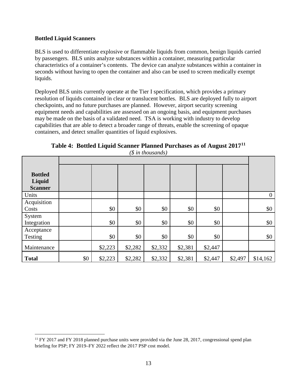#### <span id="page-19-0"></span>**Bottled Liquid Scanners**

BLS is used to differentiate explosive or flammable liquids from common, benign liquids carried by passengers. BLS units analyze substances within a container, measuring particular characteristics of a container's contents. The device can analyze substances within a container in seconds without having to open the container and also can be used to screen medically exempt liquids.

Deployed BLS units currently operate at the Tier I specification, which provides a primary resolution of liquids contained in clear or translucent bottles. BLS are deployed fully to airport checkpoints, and no future purchases are planned. However, airport security screening equipment needs and capabilities are assessed on an ongoing basis, and equipment purchases may be made on the basis of a validated need. TSA is working with industry to develop capabilities that are able to detect a broader range of threats, enable the screening of opaque containers, and detect smaller quantities of liquid explosives.

|                                            |         |         | $(\text{\$ in thousands})$ |         |         |                  |
|--------------------------------------------|---------|---------|----------------------------|---------|---------|------------------|
| <b>Bottled</b><br>Liquid<br><b>Scanner</b> |         |         |                            |         |         |                  |
| Units                                      |         |         |                            |         |         | $\boldsymbol{0}$ |
| Acquisition<br>Costs                       | \$0     | \$0     | \$0                        | \$0     | \$0     | $\$0$            |
| System<br>Integration                      | \$0     | \$0     | \$0                        | \$0     | \$0     | $\$0$            |
| Acceptance<br>Testing                      | \$0     | \$0     | \$0                        | \$0     | \$0     | $\$0$            |
| Maintenance                                | \$2,223 | \$2,282 | \$2,332                    | \$2,381 | \$2,447 |                  |
|                                            |         |         |                            |         |         |                  |

**Total** \$0 \ \$2,223 \ \$2,282 \ \$2,332 \ \$2,381 \ \$2,447 \ \$2,497 \ \$14,162

**Table 4: Bottled Liquid Scanner Planned Purchases as of August 2017[11](#page-19-1)**

<span id="page-19-1"></span> $\overline{a}$ <sup>11</sup> FY 2017 and FY 2018 planned purchase units were provided via the June 28, 2017, congressional spend plan briefing for PSP; FY 2019–FY 2022 reflect the 2017 PSP cost model.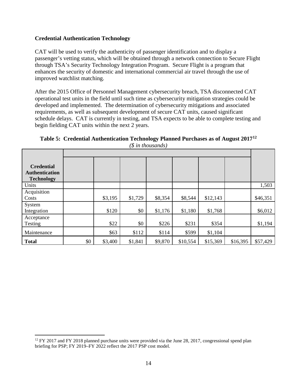#### <span id="page-20-0"></span>**Credential Authentication Technology**

CAT will be used to verify the authenticity of passenger identification and to display a passenger's vetting status, which will be obtained through a network connection to Secure Flight through TSA's Security Technology Integration Program. Secure Flight is a program that enhances the security of domestic and international commercial air travel through the use of improved watchlist matching.

After the 2015 Office of Personnel Management cybersecurity breach, TSA disconnected CAT operational test units in the field until such time as cybersecurity mitigation strategies could be developed and implemented. The determination of cybersecurity mitigations and associated requirements, as well as subsequent development of secure CAT units, caused significant schedule delays. CAT is currently in testing, and TSA expects to be able to complete testing and begin fielding CAT units within the next 2 years.

**Table 5: Credential Authentication Technology Planned Purchases as of August 2017[12](#page-20-1)** *(\$ in thousands)* 

| <b>Credential</b><br><b>Authentication</b><br><b>Technology</b> |     |         |         |         |          |          |          |          |  |  |  |
|-----------------------------------------------------------------|-----|---------|---------|---------|----------|----------|----------|----------|--|--|--|
| Units                                                           |     |         |         |         |          |          |          | 1,503    |  |  |  |
| Acquisition<br>Costs                                            |     | \$3,195 | \$1,729 | \$8,354 | \$8,544  | \$12,143 |          | \$46,351 |  |  |  |
| System<br>Integration                                           |     | \$120   | \$0     | \$1,176 | \$1,180  | \$1,768  |          | \$6,012  |  |  |  |
| Acceptance<br>Testing                                           |     | \$22    | \$0     | \$226   | \$231    | \$354    |          | \$1,194  |  |  |  |
| Maintenance                                                     |     | \$63    | \$112   | \$114   | \$599    | \$1,104  |          |          |  |  |  |
| <b>Total</b>                                                    | \$0 | \$3,400 | \$1,841 | \$9,870 | \$10,554 | \$15,369 | \$16,395 | \$57,429 |  |  |  |

<span id="page-20-1"></span> $\overline{a}$  $12$  FY 2017 and FY 2018 planned purchase units were provided via the June 28, 2017, congressional spend plan briefing for PSP; FY 2019–FY 2022 reflect the 2017 PSP cost model.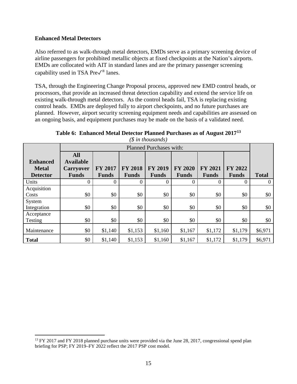#### <span id="page-21-0"></span>**Enhanced Metal Detectors**

 $\overline{a}$ 

Also referred to as walk-through metal detectors, EMDs serve as a primary screening device of airline passengers for prohibited metallic objects at fixed checkpoints at the Nation's airports. EMDs are collocated with AIT in standard lanes and are the primary passenger screening capability used in TSA Pre✓® lanes.

TSA, through the Engineering Change Proposal process, approved new EMD control heads, or processors, that provide an increased threat detection capability and extend the service life on existing walk-through metal detectors. As the control heads fail, TSA is replacing existing control heads. EMDs are deployed fully to airport checkpoints, and no future purchases are planned. However, airport security screening equipment needs and capabilities are assessed on an ongoing basis, and equipment purchases may be made on the basis of a validated need.

|                 |                  |                                |                | $\varphi$ <i>v</i> $\upsilon$ $\upsilon$ $\upsilon$ $\upsilon$ $\upsilon$ $\upsilon$ $\upsilon$ $\upsilon$ $\upsilon$ $\upsilon$ $\upsilon$ $\upsilon$ $\upsilon$ $\upsilon$ $\upsilon$ $\upsilon$ $\upsilon$ $\upsilon$ $\upsilon$ $\upsilon$ $\upsilon$ $\upsilon$ $\upsilon$ $\upsilon$ $\upsilon$ $\upsilon$ $\upsilon$ $\upsilon$ $\upsilon$ $\upsilon$ $\upsilon$ $\upsilon$ $\upsilon$ $\upsilon$ $\upsilon$ |                |                |                |              |  |  |
|-----------------|------------------|--------------------------------|----------------|---------------------------------------------------------------------------------------------------------------------------------------------------------------------------------------------------------------------------------------------------------------------------------------------------------------------------------------------------------------------------------------------------------------------|----------------|----------------|----------------|--------------|--|--|
|                 |                  | <b>Planned Purchases with:</b> |                |                                                                                                                                                                                                                                                                                                                                                                                                                     |                |                |                |              |  |  |
|                 | <b>All</b>       |                                |                |                                                                                                                                                                                                                                                                                                                                                                                                                     |                |                |                |              |  |  |
| <b>Enhanced</b> | <b>Available</b> |                                |                |                                                                                                                                                                                                                                                                                                                                                                                                                     |                |                |                |              |  |  |
| <b>Metal</b>    | <b>Carryover</b> | FY 2017                        | <b>FY 2018</b> | <b>FY 2019</b>                                                                                                                                                                                                                                                                                                                                                                                                      | <b>FY 2020</b> | <b>FY 2021</b> | <b>FY 2022</b> |              |  |  |
| <b>Detector</b> | <b>Funds</b>     | <b>Funds</b>                   | <b>Funds</b>   | <b>Funds</b>                                                                                                                                                                                                                                                                                                                                                                                                        | <b>Funds</b>   | <b>Funds</b>   | <b>Funds</b>   | <b>Total</b> |  |  |
| Units           | 0                | 0                              | 0              | 0                                                                                                                                                                                                                                                                                                                                                                                                                   | 0              | $\theta$       | $\theta$       | $\Omega$     |  |  |
| Acquisition     |                  |                                |                |                                                                                                                                                                                                                                                                                                                                                                                                                     |                |                |                |              |  |  |
| Costs           | \$0              | \$0                            | \$0            | \$0                                                                                                                                                                                                                                                                                                                                                                                                                 | \$0            | \$0            | \$0            | \$0          |  |  |
| System          |                  |                                |                |                                                                                                                                                                                                                                                                                                                                                                                                                     |                |                |                |              |  |  |
| Integration     | \$0              | \$0                            | \$0            | \$0                                                                                                                                                                                                                                                                                                                                                                                                                 | \$0            | \$0            | \$0            | \$0          |  |  |
| Acceptance      |                  |                                |                |                                                                                                                                                                                                                                                                                                                                                                                                                     |                |                |                |              |  |  |
| Testing         | \$0              | \$0                            | \$0            | \$0                                                                                                                                                                                                                                                                                                                                                                                                                 | \$0            | \$0            | \$0            | \$0          |  |  |
| Maintenance     | \$0              | \$1,140                        | \$1,153        | \$1,160                                                                                                                                                                                                                                                                                                                                                                                                             | \$1,167        | \$1,172        | \$1,179        | \$6,971      |  |  |
| <b>Total</b>    | \$0              | \$1,140                        | \$1,153        | \$1,160                                                                                                                                                                                                                                                                                                                                                                                                             | \$1,167        | \$1,172        | \$1,179        | \$6,971      |  |  |

**Table 6: Enhanced Metal Detector Planned Purchases as of August 2017[13](#page-21-1)** *(\$ in thousands)* 

<span id="page-21-1"></span><sup>&</sup>lt;sup>13</sup> FY 2017 and FY 2018 planned purchase units were provided via the June 28, 2017, congressional spend plan briefing for PSP; FY 2019–FY 2022 reflect the 2017 PSP cost model.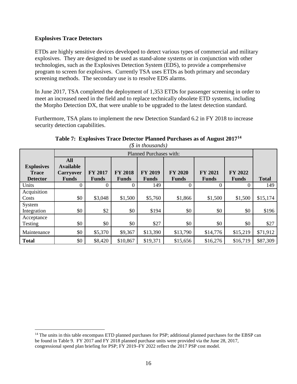#### <span id="page-22-0"></span>**Explosives Trace Detectors**

ETDs are highly sensitive devices developed to detect various types of commercial and military explosives. They are designed to be used as stand-alone systems or in conjunction with other technologies, such as the Explosives Detection System (EDS), to provide a comprehensive program to screen for explosives. Currently TSA uses ETDs as both primary and secondary screening methods. The secondary use is to resolve EDS alarms.

In June 2017, TSA completed the deployment of 1,353 ETDs for passenger screening in order to meet an increased need in the field and to replace technically obsolete ETD systems, including the Morpho Detection DX, that were unable to be upgraded to the latest detection standard.

Furthermore, TSA plans to implement the new Detection Standard 6.2 in FY 2018 to increase security detection capabilities.

|                                                      |                                                                    | Planned Purchases with: |                                |                                |                                |                                |                         |              |  |  |
|------------------------------------------------------|--------------------------------------------------------------------|-------------------------|--------------------------------|--------------------------------|--------------------------------|--------------------------------|-------------------------|--------------|--|--|
| <b>Explosives</b><br><b>Trace</b><br><b>Detector</b> | <b>All</b><br><b>Available</b><br><b>Carryover</b><br><b>Funds</b> | FY 2017<br><b>Funds</b> | <b>FY 2018</b><br><b>Funds</b> | <b>FY 2019</b><br><b>Funds</b> | <b>FY 2020</b><br><b>Funds</b> | <b>FY 2021</b><br><b>Funds</b> | FY 2022<br><b>Funds</b> | <b>Total</b> |  |  |
| Units                                                | 0                                                                  | $\theta$                | $\theta$                       | 149                            | 0                              | $\theta$                       | 0                       | 149          |  |  |
| Acquisition<br>Costs                                 | \$0                                                                | \$3,048                 | \$1,500                        | \$5,760                        | \$1,866                        | \$1,500                        | \$1,500                 | \$15,174     |  |  |
| System<br>Integration                                | \$0                                                                | \$2                     | \$0                            | \$194                          | \$0                            | \$0                            | \$0                     | \$196        |  |  |
| Acceptance<br><b>Testing</b>                         | \$0                                                                | \$0                     | \$0                            | \$27                           | \$0                            | \$0                            | \$0                     | \$27         |  |  |
| Maintenance                                          | \$0                                                                | \$5,370                 | \$9,367                        | \$13,390                       | \$13,790                       | \$14,776                       | \$15,219                | \$71,912     |  |  |
| <b>Total</b>                                         | \$0                                                                | \$8,420                 | \$10,867                       | \$19,371                       | \$15,656                       | \$16,276                       | \$16,719                | \$87,309     |  |  |

**Table 7: Explosives Trace Detector Planned Purchases as of August 2017[14](#page-22-1)** *(\$ in thousands)* 

<span id="page-22-1"></span> $\overline{a}$ <sup>14</sup> The units in this table encompass ETD planned purchases for PSP; additional planned purchases for the EBSP can be found in Table 9. FY 2017 and FY 2018 planned purchase units were provided via the June 28, 2017, congressional spend plan briefing for PSP; FY 2019–FY 2022 reflect the 2017 PSP cost model.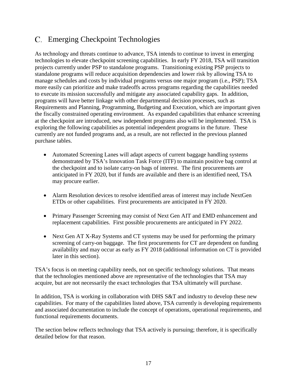### Emerging Checkpoint Technologies

As technology and threats continue to advance, TSA intends to continue to invest in emerging technologies to elevate checkpoint screening capabilities. In early FY 2018, TSA will transition projects currently under PSP to standalone programs. Transitioning existing PSP projects to standalone programs will reduce acquisition dependencies and lower risk by allowing TSA to manage schedules and costs by individual programs versus one major program (i.e., PSP); TSA more easily can prioritize and make tradeoffs across programs regarding the capabilities needed to execute its mission successfully and mitigate any associated capability gaps. In addition, programs will have better linkage with other departmental decision processes, such as Requirements and Planning, Programming, Budgeting and Execution, which are important given the fiscally constrained operating environment. As expanded capabilities that enhance screening at the checkpoint are introduced, new independent programs also will be implemented. TSA is exploring the following capabilities as potential independent programs in the future. These currently are not funded programs and, as a result, are not reflected in the previous planned purchase tables.

- Automated Screening Lanes will adapt aspects of current baggage handling systems demonstrated by TSA's Innovation Task Force (ITF) to maintain positive bag control at the checkpoint and to isolate carry-on bags of interest. The first procurements are anticipated in FY 2020, but if funds are available and there is an identified need, TSA may procure earlier.
- Alarm Resolution devices to resolve identified areas of interest may include NextGen ETDs or other capabilities. First procurements are anticipated in FY 2020.
- Primary Passenger Screening may consist of Next Gen AIT and EMD enhancement and replacement capabilities. First possible procurements are anticipated in FY 2022.
- Next Gen AT X-Ray Systems and CT systems may be used for performing the primary screening of carry-on baggage. The first procurements for CT are dependent on funding availability and may occur as early as FY 2018 (additional information on CT is provided later in this section).

TSA's focus is on meeting capability needs, not on specific technology solutions. That means that the technologies mentioned above are representative of the technologies that TSA may acquire, but are not necessarily the exact technologies that TSA ultimately will purchase.

In addition, TSA is working in collaboration with DHS S&T and industry to develop these new capabilities. For many of the capabilities listed above, TSA currently is developing requirements and associated documentation to include the concept of operations, operational requirements, and functional requirements documents.

The section below reflects technology that TSA actively is pursuing; therefore, it is specifically detailed below for that reason.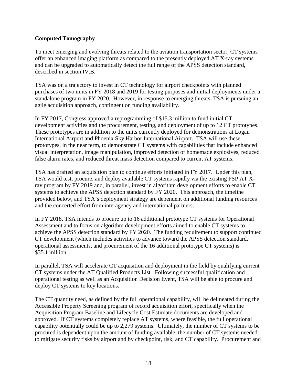#### <span id="page-24-0"></span>**Computed Tomography**

To meet emerging and evolving threats related to the aviation transportation sector, CT systems offer an enhanced imaging platform as compared to the presently deployed AT X-ray systems and can be upgraded to automatically detect the full range of the APSS detection standard, described in section IV.B.

TSA was on a trajectory to invest in CT technology for airport checkpoints with planned purchases of two units in FY 2018 and 2019 for testing purposes and initial deployments under a standalone program in FY 2020. However, in response to emerging threats, TSA is pursuing an agile acquisition approach, contingent on funding availability.

In FY 2017, Congress approved a reprogramming of \$15.3 million to fund initial CT development activities and the procurement, testing, and deployment of up to 12 CT prototypes. These prototypes are in addition to the units currently deployed for demonstrations at Logan International Airport and Phoenix Sky Harbor International Airport. TSA will use these prototypes, in the near term, to demonstrate CT systems with capabilities that include enhanced visual interpretation, image manipulation, improved detection of homemade explosives, reduced false alarm rates, and reduced threat mass detection compared to current AT systems.

TSA has drafted an acquisition plan to continue efforts initiated in FY 2017. Under this plan, TSA would test, procure, and deploy available CT systems rapidly via the existing PSP AT Xray program by FY 2019 and, in parallel, invest in algorithm development efforts to enable CT systems to achieve the APSS detection standard by FY 2020. This approach, the timeline provided below, and TSA's deployment strategy are dependent on additional funding resources and the concerted effort from interagency and international partners.

In FY 2018, TSA intends to procure up to 16 additional prototype CT systems for Operational Assessment and to focus on algorithm development efforts aimed to enable CT systems to achieve the APSS detection standard by FY 2020. The funding requirement to support continued CT development (which includes activities to advance toward the APSS detection standard, operational assessments, and procurement of the 16 additional prototype CT systems) is \$35.1 million.

In parallel, TSA will accelerate CT acquisition and deployment in the field by qualifying current CT systems under the AT Qualified Products List. Following successful qualification and operational testing as well as an Acquisition Decision Event, TSA will be able to procure and deploy CT systems to key locations.

The CT quantity need, as defined by the full operational capability, will be delineated during the Accessible Property Screening program of record acquisition effort, specifically when the Acquisition Program Baseline and Lifecycle Cost Estimate documents are developed and approved. If CT systems completely replace AT systems, where feasible, the full operational capability potentially could be up to 2,279 systems. Ultimately, the number of CT systems to be procured is dependent upon the amount of funding available, the number of CT systems needed to mitigate security risks by airport and by checkpoint, risk, and CT capability. Procurement and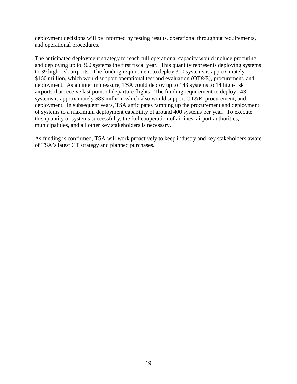deployment decisions will be informed by testing results, operational throughput requirements, and operational procedures.

The anticipated deployment strategy to reach full operational capacity would include procuring and deploying up to 300 systems the first fiscal year. This quantity represents deploying systems to 39 high-risk airports. The funding requirement to deploy 300 systems is approximately \$160 million, which would support operational test and evaluation (OT&E), procurement, and deployment. As an interim measure, TSA could deploy up to 143 systems to 14 high-risk airports that receive last point of departure flights. The funding requirement to deploy 143 systems is approximately \$83 million, which also would support OT&E, procurement, and deployment. In subsequent years, TSA anticipates ramping up the procurement and deployment of systems to a maximum deployment capability of around 400 systems per year. To execute this quantity of systems successfully, the full cooperation of airlines, airport authorities, municipalities, and all other key stakeholders is necessary.

As funding is confirmed, TSA will work proactively to keep industry and key stakeholders aware of TSA's latest CT strategy and planned purchases.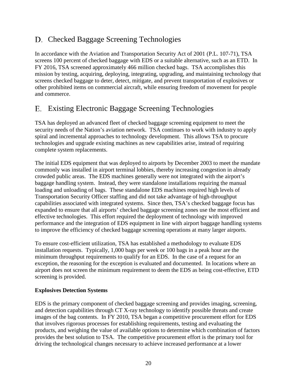### D. Checked Baggage Screening Technologies

In accordance with the Aviation and Transportation Security Act of 2001 (P.L. 107-71), TSA screens 100 percent of checked baggage with EDS or a suitable alternative, such as an ETD. In FY 2016, TSA screened approximately 466 million checked bags. TSA accomplishes this mission by testing, acquiring, deploying, integrating, upgrading, and maintaining technology that screens checked baggage to deter, detect, mitigate, and prevent transportation of explosives or other prohibited items on commercial aircraft, while ensuring freedom of movement for people and commerce.

### Existing Electronic Baggage Screening Technologies

TSA has deployed an advanced fleet of checked baggage screening equipment to meet the security needs of the Nation's aviation network. TSA continues to work with industry to apply spiral and incremental approaches to technology development. This allows TSA to procure technologies and upgrade existing machines as new capabilities arise, instead of requiring complete system replacements.

The initial EDS equipment that was deployed to airports by December 2003 to meet the mandate commonly was installed in airport terminal lobbies, thereby increasing congestion in already crowded public areas. The EDS machines generally were not integrated with the airport's baggage handling system. Instead, they were standalone installations requiring the manual loading and unloading of bags. These standalone EDS machines required high levels of Transportation Security Officer staffing and did not take advantage of high-throughput capabilities associated with integrated systems. Since then, TSA's checked baggage focus has expanded to ensure that all airports' checked baggage screening zones use the most efficient and effective technologies. This effort required the deployment of technology with improved performance and the integration of EDS equipment in line with airport baggage handling systems to improve the efficiency of checked baggage screening operations at many larger airports.

To ensure cost-efficient utilization, TSA has established a methodology to evaluate EDS installation requests. Typically, 1,000 bags per week or 100 bags in a peak hour are the minimum throughput requirements to qualify for an EDS. In the case of a request for an exception, the reasoning for the exception is evaluated and documented. In locations where an airport does not screen the minimum requirement to deem the EDS as being cost-effective, ETD screening is provided.

#### <span id="page-26-0"></span>**Explosives Detection Systems**

EDS is the primary component of checked baggage screening and provides imaging, screening, and detection capabilities through CT X-ray technology to identify possible threats and create images of the bag contents. In FY 2010, TSA began a competitive procurement effort for EDS that involves rigorous processes for establishing requirements, testing and evaluating the products, and weighing the value of available options to determine which combination of factors provides the best solution to TSA. The competitive procurement effort is the primary tool for driving the technological changes necessary to achieve increased performance at a lower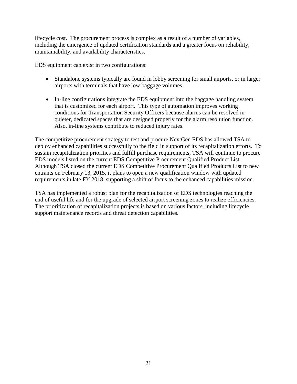lifecycle cost. The procurement process is complex as a result of a number of variables, including the emergence of updated certification standards and a greater focus on reliability, maintainability, and availability characteristics.

EDS equipment can exist in two configurations:

- Standalone systems typically are found in lobby screening for small airports, or in larger airports with terminals that have low baggage volumes.
- In-line configurations integrate the EDS equipment into the baggage handling system that is customized for each airport. This type of automation improves working conditions for Transportation Security Officers because alarms can be resolved in quieter, dedicated spaces that are designed properly for the alarm resolution function. Also, in-line systems contribute to reduced injury rates.

The competitive procurement strategy to test and procure NextGen EDS has allowed TSA to deploy enhanced capabilities successfully to the field in support of its recapitalization efforts. To sustain recapitalization priorities and fulfill purchase requirements, TSA will continue to procure EDS models listed on the current EDS Competitive Procurement Qualified Product List. Although TSA closed the current EDS Competitive Procurement Qualified Products List to new entrants on February 13, 2015, it plans to open a new qualification window with updated requirements in late FY 2018, supporting a shift of focus to the enhanced capabilities mission.

TSA has implemented a robust plan for the recapitalization of EDS technologies reaching the end of useful life and for the upgrade of selected airport screening zones to realize efficiencies. The prioritization of recapitalization projects is based on various factors, including lifecycle support maintenance records and threat detection capabilities.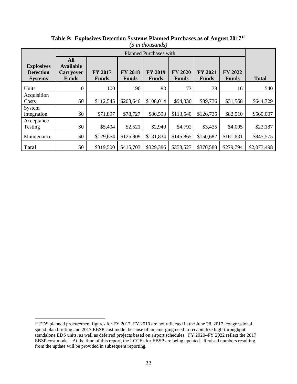|                                                         |                                                                    |                         |                                | p in mousanas)                 |                                |                                |                  |              |
|---------------------------------------------------------|--------------------------------------------------------------------|-------------------------|--------------------------------|--------------------------------|--------------------------------|--------------------------------|------------------|--------------|
|                                                         |                                                                    |                         |                                | Planned Purchases with:        |                                |                                |                  |              |
| <b>Explosives</b><br><b>Detection</b><br><b>Systems</b> | <b>All</b><br><b>Available</b><br><b>Carryover</b><br><b>Funds</b> | FY 2017<br><b>Funds</b> | <b>FY 2018</b><br><b>Funds</b> | <b>FY 2019</b><br><b>Funds</b> | <b>FY 2020</b><br><b>Funds</b> | <b>FY 2021</b><br><b>Funds</b> | FY 2022<br>Funds | <b>Total</b> |
| Units                                                   | $\Omega$                                                           | 100                     | 190                            | 83                             | 73                             | 78                             | 16               | 540          |
| Acquisition<br>Costs                                    | \$0                                                                | \$112,545               | \$208,546                      | \$108,014                      | \$94,330                       | \$89,736                       | \$31,558         | \$644,729    |
| System<br>Integration                                   | \$0                                                                | \$71,897                | \$78,727                       | \$86,598                       | \$113,540                      | \$126,735                      | \$82,510         | \$560,007    |
| Acceptance<br>Testing                                   | \$0                                                                | \$5,404                 | \$2,521                        | \$2,940                        | \$4,792                        | \$3,435                        | \$4,095          | \$23,187     |
| Maintenance                                             | \$0                                                                | \$129,654               | \$125,909                      | \$131,834                      | \$145,865                      | \$150,682                      | \$161,631        | \$845,575    |
| <b>Total</b>                                            | \$0                                                                | \$319,500               | \$415,703                      | \$329,386                      | \$358,527                      | \$370,588                      | \$279,794        | \$2,073,498  |

**Table 9: Explosives Detection Systems Planned Purchases as of August 2017[15](#page-28-0)** *(\$ in thousands)* 

 $\overline{a}$ 

<span id="page-28-0"></span><sup>&</sup>lt;sup>15</sup> EDS planned procurement figures for FY 2017–FY 2019 are not reflected in the June 28, 2017, congressional spend plan briefing and 2017 EBSP cost model because of an emerging need to recapitalize high-throughput standalone EDS units, as well as deferred projects based on airport schedules. FY 2020–FY 2022 reflect the 2017 EBSP cost model. At the time of this report, the LCCEs for EBSP are being updated. Revised numbers resulting from the update will be provided in subsequent reporting.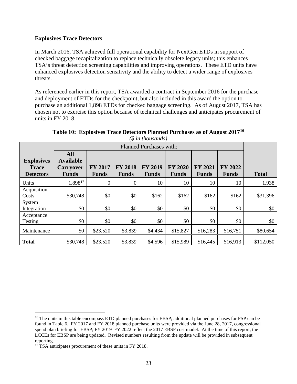#### <span id="page-29-0"></span>**Explosives Trace Detectors**

In March 2016, TSA achieved full operational capability for NextGen ETDs in support of checked baggage recapitalization to replace technically obsolete legacy units; this enhances TSA's threat detection screening capabilities and improving operations. These ETD units have enhanced explosives detection sensitivity and the ability to detect a wider range of explosives threats.

As referenced earlier in this report, TSA awarded a contract in September 2016 for the purchase and deployment of ETDs for the checkpoint, but also included in this award the option to purchase an additional 1,898 ETDs for checked baggage screening. As of August 2017, TSA has chosen not to exercise this option because of technical challenges and anticipates procurement of units in FY 2018.

|                                                       |                                                             |                                |                                | Planned Purchases with:        |                                |                                |                                |              |
|-------------------------------------------------------|-------------------------------------------------------------|--------------------------------|--------------------------------|--------------------------------|--------------------------------|--------------------------------|--------------------------------|--------------|
| <b>Explosives</b><br><b>Trace</b><br><b>Detectors</b> | All<br><b>Available</b><br><b>Carryover</b><br><b>Funds</b> | <b>FY 2017</b><br><b>Funds</b> | <b>FY 2018</b><br><b>Funds</b> | <b>FY 2019</b><br><b>Funds</b> | <b>FY 2020</b><br><b>Funds</b> | <b>FY 2021</b><br><b>Funds</b> | <b>FY 2022</b><br><b>Funds</b> | <b>Total</b> |
| Units                                                 | $1,898^{17}$                                                | $\boldsymbol{0}$               | 0                              | 10                             | 10                             | 10                             | 10                             | 1,938        |
| Acquisition<br>Costs                                  | \$30,748                                                    | \$0                            | \$0                            | \$162                          | \$162                          | \$162                          | \$162                          | \$31,396     |
| System<br>Integration                                 | \$0                                                         | \$0                            | \$0                            | \$0                            | \$0                            | \$0                            | \$0                            | \$0          |
| Acceptance<br>Testing                                 | \$0                                                         | \$0                            | \$0                            | \$0                            | \$0                            | \$0                            | \$0                            | \$0          |
| Maintenance                                           | \$0                                                         | \$23,520                       | \$3,839                        | \$4,434                        | \$15,827                       | \$16,283                       | \$16,751                       | \$80,654     |
| <b>Total</b>                                          | \$30,748                                                    | \$23,520                       | \$3,839                        | \$4,596                        | \$15,989                       | \$16,445                       | \$16,913                       | \$112,050    |

**Table 10: Explosives Trace Detectors Planned Purchases as of August 2017[16](#page-29-1)** *(\$ in thousands)* 

 $\overline{a}$ 

<span id="page-29-1"></span><sup>&</sup>lt;sup>16</sup> The units in this table encompass ETD planned purchases for EBSP; additional planned purchases for PSP can be found in Table 6. FY 2017 and FY 2018 planned purchase units were provided via the June 28, 2017, congressional spend plan briefing for EBSP; FY 2019–FY 2022 reflect the 2017 EBSP cost model. At the time of this report, the LCCEs for EBSP are being updated. Revised numbers resulting from the update will be provided in subsequent reporting.

<span id="page-29-2"></span><sup>&</sup>lt;sup>17</sup> TSA anticipates procurement of these units in FY 2018.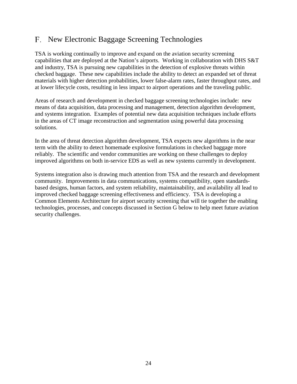### New Electronic Baggage Screening Technologies

TSA is working continually to improve and expand on the aviation security screening capabilities that are deployed at the Nation's airports. Working in collaboration with DHS S&T and industry, TSA is pursuing new capabilities in the detection of explosive threats within checked baggage. These new capabilities include the ability to detect an expanded set of threat materials with higher detection probabilities, lower false-alarm rates, faster throughput rates, and at lower lifecycle costs, resulting in less impact to airport operations and the traveling public.

Areas of research and development in checked baggage screening technologies include: new means of data acquisition, data processing and management, detection algorithm development, and systems integration. Examples of potential new data acquisition techniques include efforts in the areas of CT image reconstruction and segmentation using powerful data processing solutions.

In the area of threat detection algorithm development, TSA expects new algorithms in the near term with the ability to detect homemade explosive formulations in checked baggage more reliably. The scientific and vendor communities are working on these challenges to deploy improved algorithms on both in-service EDS as well as new systems currently in development.

Systems integration also is drawing much attention from TSA and the research and development community. Improvements in data communications, systems compatibility, open standardsbased designs, human factors, and system reliability, maintainability, and availability all lead to improved checked baggage screening effectiveness and efficiency. TSA is developing a Common Elements Architecture for airport security screening that will tie together the enabling technologies, processes, and concepts discussed in Section G below to help meet future aviation security challenges.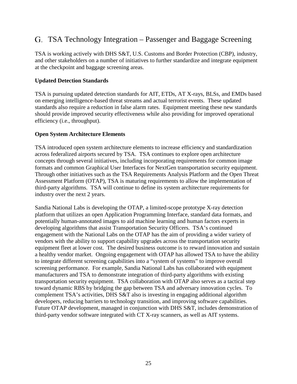### TSA Technology Integration – Passenger and Baggage Screening

TSA is working actively with DHS S&T, U.S. Customs and Border Protection (CBP), industry, and other stakeholders on a number of initiatives to further standardize and integrate equipment at the checkpoint and baggage screening areas.

#### <span id="page-31-0"></span>**Updated Detection Standards**

TSA is pursuing updated detection standards for AIT, ETDs, AT X-rays, BLSs, and EMDs based on emerging intelligence-based threat streams and actual terrorist events. These updated standards also require a reduction in false alarm rates. Equipment meeting these new standards should provide improved security effectiveness while also providing for improved operational efficiency (i.e., throughput).

#### <span id="page-31-1"></span>**Open System Architecture Elements**

TSA introduced open system architecture elements to increase efficiency and standardization across federalized airports secured by TSA. TSA continues to explore open architecture concepts through several initiatives, including incorporating requirements for common image formats and common Graphical User Interfaces for NextGen transportation security equipment. Through other initiatives such as the TSA Requirements Analysis Platform and the Open Threat Assessment Platform (OTAP), TSA is maturing requirements to allow the implementation of third-party algorithms. TSA will continue to define its system architecture requirements for industry over the next 2 years.

Sandia National Labs is developing the OTAP, a limited-scope prototype X-ray detection platform that utilizes an open Application Programming Interface, standard data formats, and potentially human-annotated images to aid machine learning and human factors experts in developing algorithms that assist Transportation Security Officers. TSA's continued engagement with the National Labs on the OTAP has the aim of providing a wider variety of vendors with the ability to support capability upgrades across the transportation security equipment fleet at lower cost. The desired business outcome is to reward innovation and sustain a healthy vendor market. Ongoing engagement with OTAP has allowed TSA to have the ability to integrate different screening capabilities into a "system of systems" to improve overall screening performance. For example, Sandia National Labs has collaborated with equipment manufacturers and TSA to demonstrate integration of third-party algorithms with existing transportation security equipment. TSA collaboration with OTAP also serves as a tactical step toward dynamic RBS by bridging the gap between TSA and adversary innovation cycles. To complement TSA's activities, DHS S&T also is investing in engaging additional algorithm developers, reducing barriers to technology transition, and improving software capabilities. Future OTAP development, managed in conjunction with DHS S&T, includes demonstration of third-party vendor software integrated with CT X-ray scanners, as well as AIT systems.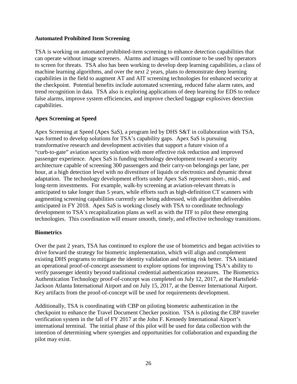#### <span id="page-32-0"></span>**Automated Prohibited Item Screening**

TSA is working on automated prohibited-item screening to enhance detection capabilities that can operate without image screeners. Alarms and images will continue to be used by operators to screen for threats. TSA also has been working to develop deep learning capabilities, a class of machine learning algorithms, and over the next 2 years, plans to demonstrate deep learning capabilities in the field to augment AT and AIT screening technologies for enhanced security at the checkpoint. Potential benefits include automated screening, reduced false alarm rates, and trend recognition in data. TSA also is exploring applications of deep learning for EDS to reduce false alarms, improve system efficiencies, and improve checked baggage explosives detection capabilities.

#### <span id="page-32-1"></span>**Apex Screening at Speed**

Apex Screening at Speed (Apex SaS), a program led by DHS S&T in collaboration with TSA, was formed to develop solutions for TSA's capability gaps. Apex SaS is pursuing transformative research and development activities that support a future vision of a "curb-to-gate" aviation security solution with more effective risk reduction and improved passenger experience. Apex SaS is funding technology development toward a security architecture capable of screening 300 passengers and their carry-on belongings per lane, per hour, at a high detection level with no divestiture of liquids or electronics and dynamic threat adaptation. The technology development efforts under Apex SaS represent short-, mid-, and long-term investments. For example, walk-by screening at aviation-relevant threats is anticipated to take longer than 5 years, while efforts such as high-definition CT scanners with augmenting screening capabilities currently are being addressed, with algorithm deliverables anticipated in FY 2018. Apex SaS is working closely with TSA to coordinate technology development to TSA's recapitalization plans as well as with the ITF to pilot these emerging technologies. This coordination will ensure smooth, timely, and effective technology transitions.

#### <span id="page-32-2"></span>**Biometrics**

Over the past 2 years, TSA has continued to explore the use of biometrics and began activities to drive forward the strategy for biometric implementation, which will align and complement existing DHS programs to mitigate the identity validation and vetting risk better. TSA initiated an operational proof-of-concept assessment to explore options for improving TSA's ability to verify passenger identity beyond traditional credential authentication measures. The Biometrics Authentication Technology proof-of-concept was completed on July 12, 2017, at the Hartsfield-Jackson Atlanta International Airport and on July 15, 2017, at the Denver International Airport. Key artifacts from the proof-of-concept will be used for requirements development.

Additionally, TSA is coordinating with CBP on piloting biometric authentication in the checkpoint to enhance the Travel Document Checker position. TSA is piloting the CBP traveler verification system in the fall of FY 2017 at the John F. Kennedy International Airport's international terminal. The initial phase of this pilot will be used for data collection with the intention of determining where synergies and opportunities for collaboration and expanding the pilot may exist.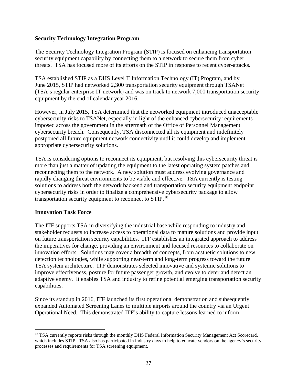#### <span id="page-33-0"></span>**Security Technology Integration Program**

The Security Technology Integration Program (STIP) is focused on enhancing transportation security equipment capability by connecting them to a network to secure them from cyber threats. TSA has focused more of its efforts on the STIP in response to recent cyber-attacks.

TSA established STIP as a DHS Level II Information Technology (IT) Program, and by June 2015, STIP had networked 2,300 transportation security equipment through TSANet (TSA's regular enterprise IT network) and was on track to network 7,000 transportation security equipment by the end of calendar year 2016.

However, in July 2015, TSA determined that the networked equipment introduced unacceptable cybersecurity risks to TSANet, especially in light of the enhanced cybersecurity requirements imposed across the government in the aftermath of the Office of Personnel Management cybersecurity breach. Consequently, TSA disconnected all its equipment and indefinitely postponed all future equipment network connectivity until it could develop and implement appropriate cybersecurity solutions.

TSA is considering options to reconnect its equipment, but resolving this cybersecurity threat is more than just a matter of updating the equipment to the latest operating system patches and reconnecting them to the network. A new solution must address evolving governance and rapidly changing threat environments to be viable and effective. TSA currently is testing solutions to address both the network backend and transportation security equipment endpoint cybersecurity risks in order to finalize a comprehensive cybersecurity package to allow transportation security equipment to reconnect to STIP.<sup>18</sup>

#### <span id="page-33-1"></span>**Innovation Task Force**

The ITF supports TSA in diversifying the industrial base while responding to industry and stakeholder requests to increase access to operational data to mature solutions and provide input on future transportation security capabilities. ITF establishes an integrated approach to address the imperatives for change, providing an environment and focused resources to collaborate on innovation efforts. Solutions may cover a breadth of concepts, from aesthetic solutions to new detection technologies, while supporting near-term and long-term progress toward the future TSA system architecture. ITF demonstrates selected innovative and systemic solutions to improve effectiveness, posture for future passenger growth, and evolve to deter and detect an adaptive enemy. It enables TSA and industry to refine potential emerging transportation security capabilities.

Since its standup in 2016, ITF launched its first operational demonstration and subsequently expanded Automated Screening Lanes to multiple airports around the country via an Urgent Operational Need. This demonstrated ITF's ability to capture lessons learned to inform

<span id="page-33-2"></span> $\overline{a}$ <sup>18</sup> TSA currently reports risks through the monthly DHS Federal Information Security Management Act Scorecard, which includes STIP. TSA also has participated in industry days to help to educate vendors on the agency's security processes and requirements for TSA screening equipment.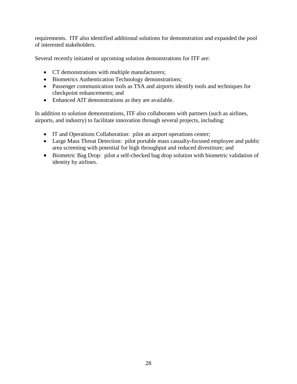requirements. ITF also identified additional solutions for demonstration and expanded the pool of interested stakeholders.

Several recently initiated or upcoming solution demonstrations for ITF are:

- CT demonstrations with multiple manufacturers;
- Biometrics Authentication Technology demonstrations;
- Passenger communication tools as TSA and airports identify tools and techniques for checkpoint enhancements; and
- Enhanced AIT demonstrations as they are available.

In addition to solution demonstrations, ITF also collaborates with partners (such as airlines, airports, and industry) to facilitate innovation through several projects, including:

- IT and Operations Collaboration: pilot an airport operations center;
- Large Mass Threat Detection: pilot portable mass casualty-focused employee and public area screening with potential for high throughput and reduced divestiture; and
- Biometric Bag Drop: pilot a self-checked bag drop solution with biometric validation of identity by airlines.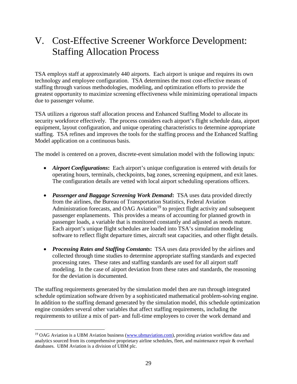# <span id="page-35-0"></span>V. Cost-Effective Screener Workforce Development: Staffing Allocation Process

TSA employs staff at approximately 440 airports. Each airport is unique and requires its own technology and employee configuration. TSA determines the most cost-effective means of staffing through various methodologies, modeling, and optimization efforts to provide the greatest opportunity to maximize screening effectiveness while minimizing operational impacts due to passenger volume.

TSA utilizes a rigorous staff allocation process and Enhanced Staffing Model to allocate its security workforce effectively. The process considers each airport's flight schedule data, airport equipment, layout configuration, and unique operating characteristics to determine appropriate staffing. TSA refines and improves the tools for the staffing process and the Enhanced Staffing Model application on a continuous basis.

The model is centered on a proven, discrete-event simulation model with the following inputs:

- *Airport Configurations*: Each airport's unique configuration is entered with details for operating hours, terminals, checkpoints, bag zones, screening equipment, and exit lanes. The configuration details are vetted with local airport scheduling operations officers.
- *Passenger and Baggage Screening Work Demand***:** TSA uses data provided directly from the airlines, the Bureau of Transportation Statistics, Federal Aviation Administration forecasts, and OAG Aviation<sup>[19](#page-35-1)</sup> to project flight activity and subsequent passenger enplanements. This provides a means of accounting for planned growth in passenger loads, a variable that is monitored constantly and adjusted as needs mature. Each airport's unique flight schedules are loaded into TSA's simulation modeling software to reflect flight departure times, aircraft seat capacities, and other flight details.
- *Processing Rates and Staffing Constants***:** TSA uses data provided by the airlines and collected through time studies to determine appropriate staffing standards and expected processing rates. These rates and staffing standards are used for all airport staff modeling. In the case of airport deviation from these rates and standards, the reasoning for the deviation is documented.

The staffing requirements generated by the simulation model then are run through integrated schedule optimization software driven by a sophisticated mathematical problem-solving engine. In addition to the staffing demand generated by the simulation model, this schedule optimization engine considers several other variables that affect staffing requirements, including the requirements to utilize a mix of part- and full-time employees to cover the work demand and

<span id="page-35-1"></span> $\overline{a}$ <sup>19</sup> OAG Aviation is a UBM Aviation business [\(www.ubmaviation.com\)](http://www.ubmaviation.com/), providing aviation workflow data and analytics sourced from its comprehensive proprietary airline schedules, fleet, and maintenance repair & overhaul databases. UBM Aviation is a division of UBM plc.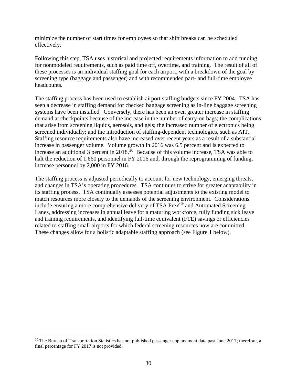minimize the number of start times for employees so that shift breaks can be scheduled effectively.

Following this step, TSA uses historical and projected requirements information to add funding for nonmodeled requirements, such as paid time off, overtime, and training. The result of all of these processes is an individual staffing goal for each airport, with a breakdown of the goal by screening type (baggage and passenger) and with recommended part- and full-time employee headcounts.

The staffing process has been used to establish airport staffing budgets since FY 2004. TSA has seen a decrease in staffing demand for checked baggage screening as in-line baggage screening systems have been installed. Conversely, there has been an even greater increase in staffing demand at checkpoints because of the increase in the number of carry-on bags; the complications that arise from screening liquids, aerosols, and gels; the increased number of electronics being screened individually; and the introduction of staffing-dependent technologies, such as AIT. Staffing resource requirements also have increased over recent years as a result of a substantial increase in passenger volume. Volume growth in 2016 was 6.5 percent and is expected to increase an additional 3 percent in 2018.<sup>20</sup> Because of this volume increase, TSA was able to halt the reduction of 1,660 personnel in FY 2016 and, through the reprogramming of funding, increase personnel by 2,000 in FY 2016.

The staffing process is adjusted periodically to account for new technology, emerging threats, and changes in TSA's operating procedures. TSA continues to strive for greater adaptability in its staffing process. TSA continually assesses potential adjustments to the existing model to match resources more closely to the demands of the screening environment. Considerations include ensuring a more comprehensive delivery of TSA Pre $\checkmark$ <sup>®</sup> and Automated Screening Lanes, addressing increases in annual leave for a maturing workforce, fully funding sick leave and training requirements, and identifying full-time equivalent (FTE) savings or efficiencies related to staffing small airports for which federal screening resources now are committed. These changes allow for a holistic adaptable staffing approach (see Figure 1 below).

 $\overline{a}$ 

<span id="page-36-0"></span><sup>&</sup>lt;sup>20</sup> The Bureau of Transportation Statistics has not published passenger enplanement data past June 2017; therefore, a final percentage for FY 2017 is not provided.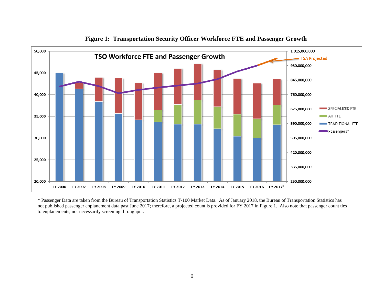

**Figure 1: Transportation Security Officer Workforce FTE and Passenger Growth**

\* Passenger Data are taken from the Bureau of Transportation Statistics T-100 Market Data. As of January 2018, the Bureau of Transportation Statistics has not published passenger enplanement data past June 2017; therefore, a projected count is provided for FY 2017 in Figure 1. Also note that passenger count ties to enplanements, not necessarily screening throughput.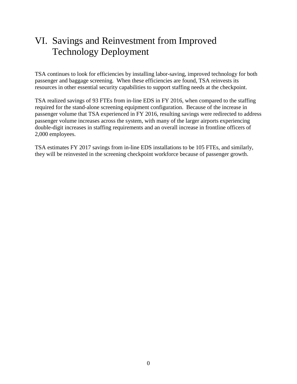# <span id="page-38-0"></span>VI. Savings and Reinvestment from Improved Technology Deployment

TSA continues to look for efficiencies by installing labor-saving, improved technology for both passenger and baggage screening. When these efficiencies are found, TSA reinvests its resources in other essential security capabilities to support staffing needs at the checkpoint.

TSA realized savings of 93 FTEs from in-line EDS in FY 2016, when compared to the staffing required for the stand-alone screening equipment configuration. Because of the increase in passenger volume that TSA experienced in FY 2016, resulting savings were redirected to address passenger volume increases across the system, with many of the larger airports experiencing double-digit increases in staffing requirements and an overall increase in frontline officers of 2,000 employees.

TSA estimates FY 2017 savings from in-line EDS installations to be 105 FTEs, and similarly, they will be reinvested in the screening checkpoint workforce because of passenger growth.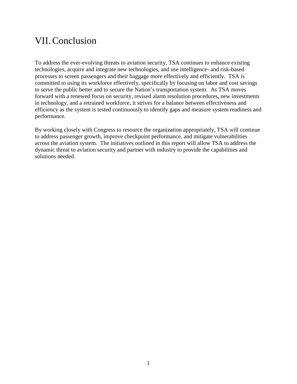### <span id="page-39-0"></span>VII.Conclusion

To address the ever-evolving threats to aviation security, TSA continues to enhance existing technologies, acquire and integrate new technologies, and use intelligence- and risk-based processes to screen passengers and their baggage more effectively and efficiently. TSA is committed to using its workforce effectively, specifically by focusing on labor and cost savings to serve the public better and to secure the Nation's transportation system. As TSA moves forward with a renewed focus on security, revised alarm resolution procedures, new investments in technology, and a retrained workforce, it strives for a balance between effectiveness and efficiency as the system is tested continuously to identify gaps and measure system readiness and performance.

By working closely with Congress to resource the organization appropriately, TSA will continue to address passenger growth, improve checkpoint performance, and mitigate vulnerabilities across the aviation system. The initiatives outlined in this report will allow TSA to address the dynamic threat to aviation security and partner with industry to provide the capabilities and solutions needed.